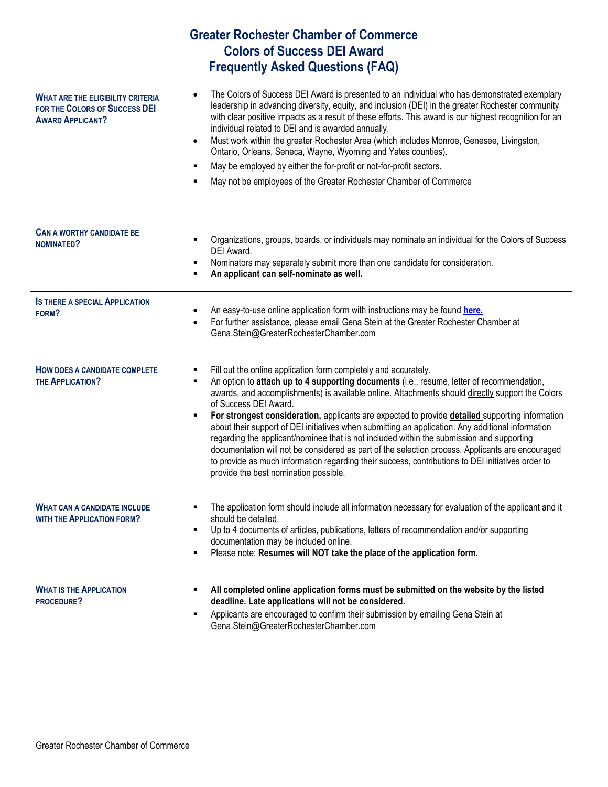| <b>Greater Rochester Chamber of Commerce</b><br><b>Colors of Success DEI Award</b>                   |                                                                                                                                                                                                                                                                                                                                                                                                                                                                                                                                                                                                                                                                                                                                                                                                                                                       |
|------------------------------------------------------------------------------------------------------|-------------------------------------------------------------------------------------------------------------------------------------------------------------------------------------------------------------------------------------------------------------------------------------------------------------------------------------------------------------------------------------------------------------------------------------------------------------------------------------------------------------------------------------------------------------------------------------------------------------------------------------------------------------------------------------------------------------------------------------------------------------------------------------------------------------------------------------------------------|
|                                                                                                      |                                                                                                                                                                                                                                                                                                                                                                                                                                                                                                                                                                                                                                                                                                                                                                                                                                                       |
| <b>WHAT ARE THE ELIGIBILITY CRITERIA</b><br>FOR THE COLORS OF SUCCESS DEI<br><b>AWARD APPLICANT?</b> | The Colors of Success DEI Award is presented to an individual who has demonstrated exemplary<br>leadership in advancing diversity, equity, and inclusion (DEI) in the greater Rochester community<br>with clear positive impacts as a result of these efforts. This award is our highest recognition for an<br>individual related to DEI and is awarded annually.<br>Must work within the greater Rochester Area (which includes Monroe, Genesee, Livingston,<br>$\bullet$<br>Ontario, Orleans, Seneca, Wayne, Wyoming and Yates counties).<br>May be employed by either the for-profit or not-for-profit sectors.<br>May not be employees of the Greater Rochester Chamber of Commerce                                                                                                                                                               |
| <b>CAN A WORTHY CANDIDATE BE</b><br>NOMINATED?                                                       | Organizations, groups, boards, or individuals may nominate an individual for the Colors of Success<br>DEI Award.<br>Nominators may separately submit more than one candidate for consideration.<br>An applicant can self-nominate as well.                                                                                                                                                                                                                                                                                                                                                                                                                                                                                                                                                                                                            |
| <b>IS THERE A SPECIAL APPLICATION</b><br>FORM?                                                       | An easy-to-use online application form with instructions may be found here.<br>For further assistance, please email Gena Stein at the Greater Rochester Chamber at<br>Gena.Stein@GreaterRochesterChamber.com                                                                                                                                                                                                                                                                                                                                                                                                                                                                                                                                                                                                                                          |
| <b>HOW DOES A CANDIDATE COMPLETE</b><br><b>THE APPLICATION?</b>                                      | Fill out the online application form completely and accurately.<br>An option to attach up to 4 supporting documents (i.e., resume, letter of recommendation,<br>awards, and accomplishments) is available online. Attachments should directly support the Colors<br>of Success DEI Award.<br>For strongest consideration, applicants are expected to provide detailed supporting information<br>٠<br>about their support of DEI initiatives when submitting an application. Any additional information<br>regarding the applicant/nominee that is not included within the submission and supporting<br>documentation will not be considered as part of the selection process. Applicants are encouraged<br>to provide as much information regarding their success, contributions to DEI initiatives order to<br>provide the best nomination possible. |
| <b>WHAT CAN A CANDIDATE INCLUDE</b><br><b>WITH THE APPLICATION FORM?</b>                             | The application form should include all information necessary for evaluation of the applicant and it<br>should be detailed.<br>Up to 4 documents of articles, publications, letters of recommendation and/or supporting<br>documentation may be included online.<br>Please note: Resumes will NOT take the place of the application form.<br>٠                                                                                                                                                                                                                                                                                                                                                                                                                                                                                                        |
| <b>WHAT IS THE APPLICATION</b><br>PROCEDURE?                                                         | All completed online application forms must be submitted on the website by the listed<br>deadline. Late applications will not be considered.<br>Applicants are encouraged to confirm their submission by emailing Gena Stein at<br>Gena.Stein@GreaterRochesterChamber.com                                                                                                                                                                                                                                                                                                                                                                                                                                                                                                                                                                             |